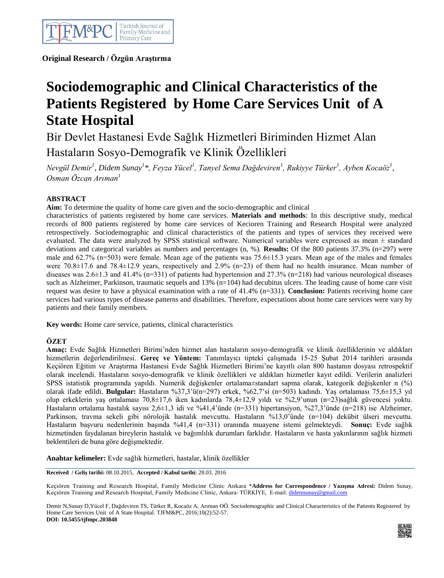

 **Original Research / Özgün Araştırma**

# **Sociodemographic and Clinical Characteristics of the Patients Registered by Home Care Services Unit of A State Hospital**

Bir Devlet Hastanesi Evde Sağlık Hizmetleri Biriminden Hizmet Alan Hastaların Sosyo-Demografik ve Klinik Özellikleri

*Nevgül Demir<sup>1</sup> , Didem Sunay<sup>1</sup> \*, Feyza Yücel<sup>1</sup> , Tanyel Sema Dağdeviren<sup>1</sup> , Rukiyye Türker<sup>1</sup> , Ayben Kocaöz<sup>1</sup> , Osman Özcan Arıman<sup>1</sup>*

# **ABSTRACT**

**Aim:** To determine the quality of home care given and the socio-demographic and clinical

characteristics of patients registered by home care services. **Materials and methods**: In this descriptive study, medical records of 800 patients registered by home care services of Kecioren Training and Research Hospital were analyzed retrospectively. Sociodemographic and clinical characteristics of the patients and types of services they received were evaluated. The data were analyzed by SPSS statistical software. Numerical variables were expressed as mean ± standard deviations and categorical variables as numbers and percentages (n, %). **Results:** Of the 800 patients 37.3% (n=297) were male and 62.7% (n=503) were female. Mean age of the patients was 75.6±15.3 years. Mean age of the males and females were 70.8 $\pm$ 17.6 and 78.4 $\pm$ 12.9 years, respectively and 2.9% (n=23) of them had no health insurance. Mean number of diseases was 2.6±1.3 and 41.4% (n=331) of patients had hypertension and 27.3% (n=218) had various neurological diseases such as Alzheimer, Parkinson, traumatic sequels and 13% (n=104) had decubitus ulcers. The leading cause of home care visit request was desire to have a physical examination with a rate of 41.4% (n=331). **Conclusion:** Patients receiving home care services had various types of disease patterns and disabilities. Therefore, expectations about home care services were vary by patients and their family members.

**Key words:** Home care service, patients, clinical characteristics

## **ÖZET**

**Amaç:** Evde Sağlık Hizmetleri Birimi'nden hizmet alan hastaların sosyo-demografik ve klinik özelliklerinin ve aldıkları hizmetlerin değerlendirilmesi. **Gereç ve Yöntem:** Tanımlayıcı tipteki çalışmada 15-25 Şubat 2014 tarihleri arasında Keçiören Eğitim ve Araştırma Hastanesi Evde Sağlık Hizmetleri Birimi'ne kayıtlı olan 800 hastanın dosyası retrospektif olarak incelendi. Hastaların sosyo-demografik ve klinik özellikleri ve aldıkları hizmetler kayıt edildi. Verilerin analizleri SPSS istatistik programında yapıldı. Numerik değişkenler ortalama±standart sapma olarak, kategorik değişkenler n (%) olarak ifade edildi. **Bulgular:** Hastaların %37,3'ü(n=297) erkek, %62,7'si (n=503) kadındı. Yaş ortalaması 75,6±15,3 yıl olup erkeklerin yaş ortalaması 70,8±17,6 iken kadınlarda 78,4±12,9 yıldı ve %2,9'unun (n=23)sağlık güvencesi yoktu. Hastaların ortalama hastalık sayısı 2,6±1,3 idi ve %41,4'ünde (n=331) hipertansiyon, %27,3'ünde (n=218) ise Alzheimer, Parkinson, travma sekeli gibi nörolojik hastalık mevcuttu. Hastaların %13,0'ünde (n=104) dekübit ülseri mevcuttu. Hastaların başvuru nedenlerinin başında %41,4 (n=331) oranında muayene istemi gelmekteydi. **Sonuç:** Evde sağlık hizmetinden faydalanan bireylerin hastalık ve bağımlılık durumları farklıdır. Hastaların ve hasta yakınlarının sağlık hizmeti beklentileri de buna göre değişmektedir.

**Anahtar kelimeler:** Evde sağlık hizmetleri, hastalar, klinik özellikler

**Received / Geliş tarihi:** 08.10.2015, **Accepted / Kabul tarihi:** 28.03. 2016

Keçiören Training and Research Hospital, Family Medicine Clinic Ankara \***Address for Correspondence / Yazışma Adresi:** Didem Sunay, Keçiören Training and Research Hospital, Family Medicine Clinic, Ankara- TÜRKİYE, E-mail: [didemsunay@gmail.com](mailto:didemsunay@gmail.com)

Demir N,Sunay D,Yücel F, Dağdeviren TS, Türker R, Kocaöz A, Arıman OÖ. Sociodemographic and Clinical Characteristics of the Patients Registered by Home Care Services Unit of A State Hospital. TJFM&PC, 2016;10(2):52-57. **DOI: 10.5455/tjfmpc.203848**

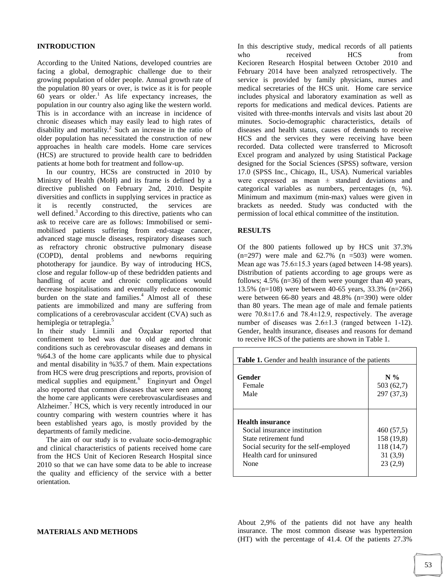#### **INTRODUCTION**

According to the United Nations, developed countries are facing a global, demographic challenge due to their growing population of older people. Annual growth rate of the population 80 years or over, is twice as it is for people  $60$  years or older.<sup>1</sup> As life expectancy increases, the population in our country also aging like the western world. This is in accordance with an increase in incidence of chronic diseases which may easily lead to high rates of disability and mortality.<sup>2</sup> Such an increase in the ratio of older population has necessitated the construction of new approaches in health care models. Home care services (HCS) are structured to provide health care to bedridden patients at home both for treatment and follow-up.

 In our country, HCSs are constructed in 2010 by Ministry of Health (MoH) and its frame is defined by a directive published on February 2nd, 2010. Despite diversities and conflicts in supplying services in practice as it is recently constructed, the services are well defined.<sup>3</sup> According to this directive, patients who can ask to receive care are as follows: Immobilised or semimobilised patients suffering from end-stage cancer, advanced stage muscle diseases, respiratory diseases such as refractory chronic obstructive pulmonary disease (COPD), dental problems and newborns requiring phototherapy for jaundice. By way of introducing HCS, close and regular follow-up of these bedridden patients and handling of acute and chronic complications would decrease hospitalisations and eventually reduce economic burden on the state and families. $4$  Almost all of these patients are immobilized and many are suffering from complications of a cerebrovascular accident (CVA) such as hemiplegia or tetraplegia.<sup>5</sup>

In their study Limnili and Özçakar reported that confinement to bed was due to old age and chronic conditions such as cerebrovascular diseases and demans in %64.3 of the home care applicants while due to physical and mental disability in %35.7 of them. Main expectations from HCS were drug prescriptions and reports, provision of medical supplies and equipment.<sup>6</sup> Enginyurt and Öngel also reported that common diseases that were seen among the home care applicants were cerebrovasculardiseases and Alzheimer.<sup>7</sup> HCS, which is very recently introduced in our country comparing with western countries where it has been established years ago, is mostly provided by the departments of family medicine.

 The aim of our study is to evaluate socio-demographic and clinical characteristics of patients received home care from the HCS Unit of Kecioren Research Hospital since 2010 so that we can have some data to be able to increase the quality and efficiency of the service with a better orientation.

In this descriptive study, medical records of all patients who received HCS from Kecioren Research Hospital between October 2010 and February 2014 have been analyzed retrospectively. The service is provided by family physicians, nurses and medical secretaries of the HCS unit. Home care service includes physical and laboratory examination as well as reports for medications and medical devices. Patients are visited with three-months intervals and visits last about 20 minutes. Socio-demographic characteristics, details of diseases and health status, causes of demands to receive HCS and the services they were receiving have been recorded. Data collected were transferred to Microsoft Excel program and analyzed by using Statistical Package designed for the Social Sciences (SPSS) software, version 17.0 (SPSS Inc., Chicago, IL, USA). Numerical variables were expressed as mean ± standard deviations and categorical variables as numbers, percentages (n, %). Minimum and maximum (min-max) values were given in brackets as needed. Study was conducted with the permission of local ethical committee of the institution.

#### **RESULTS**

Of the 800 patients followed up by HCS unit 37.3%  $(n=297)$  were male and  $62.7\%$   $(n=503)$  were women. Mean age was 75.6±15.3 years (aged between 14-98 years). Distribution of patients according to age groups were as follows; 4.5% (n=36) of them were younger than 40 years, 13.5% (n=108) were between 40-65 years, 33.3% (n=266) were between 66-80 years and 48.8% (n=390) were older than 80 years. The mean age of male and female patients were 70.8±17.6 and 78.4±12.9, respectively. The average number of diseases was  $2.6 \pm 1.3$  (ranged between 1-12). Gender, health insurance, diseases and reasons for demand to receive HCS of the patients are shown in Table 1.

| <b>Table 1.</b> Gender and health insurance of the patients                                                                                                    |                                                            |  |  |  |  |  |
|----------------------------------------------------------------------------------------------------------------------------------------------------------------|------------------------------------------------------------|--|--|--|--|--|
| Gender<br>Female<br>Male                                                                                                                                       | $N\%$<br>503 (62,7)<br>297 (37,3)                          |  |  |  |  |  |
| <b>Health insurance</b><br>Social insurance institution<br>State retirement fund<br>Social security for the self-employed<br>Health card for uninsured<br>None | 460(57,5)<br>158 (19.8)<br>118(14,7)<br>31(3,9)<br>23(2,9) |  |  |  |  |  |

#### **MATERIALS AND METHODS**

About 2,9% of the patients did not have any health insurance. The most common disease was hypertension (HT) with the percentage of 41.4. Of the patients 27.3%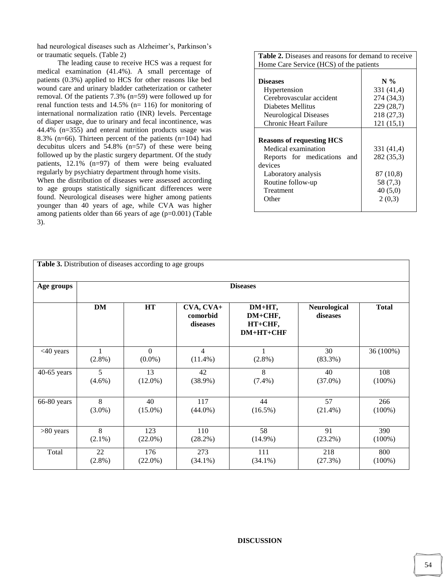had neurological diseases such as Alzheimer's, Parkinson's or traumatic sequels. (Table 2)

The leading cause to receive HCS was a request for medical examination (41.4%). A small percentage of patients (0.3%) applied to HCS for other reasons like bed wound care and urinary bladder catheterization or catheter removal. Of the patients 7.3% (n=59) were followed up for renal function tests and 14.5% (n= 116) for monitoring of international normalization ratio (INR) levels. Percentage of diaper usage, due to urinary and fecal incontinence, was 44.4% (n=355) and enteral nutrition products usage was 8.3% (n=66). Thirteen percent of the patients (n=104) had decubitus ulcers and 54.8% (n=57) of these were being followed up by the plastic surgery department. Of the study patients, 12.1% (n=97) of them were being evaluated regularly by psychiatry department through home visits.

When the distribution of diseases were assessed according to age groups statistically significant differences were found. Neurological diseases were higher among patients younger than 40 years of age, while CVA was higher among patients older than 66 years of age (p=0.001) (Table 3).

| <b>Table 2.</b> Diseases and reasons for demand to receive |            |  |  |  |  |  |
|------------------------------------------------------------|------------|--|--|--|--|--|
| Home Care Service (HCS) of the patients                    |            |  |  |  |  |  |
|                                                            |            |  |  |  |  |  |
| <b>Diseases</b>                                            | $N\%$      |  |  |  |  |  |
| Hypertension                                               | 331 (41,4) |  |  |  |  |  |
| Cerebrovascular accident                                   | 274 (34,3) |  |  |  |  |  |
| Diabetes Mellitus                                          | 229 (28,7) |  |  |  |  |  |
| Neurological Diseases                                      | 218 (27,3) |  |  |  |  |  |
| Chronic Heart Failure                                      | 121(15,1)  |  |  |  |  |  |
|                                                            |            |  |  |  |  |  |
| <b>Reasons of requesting HCS</b>                           |            |  |  |  |  |  |
| Medical examination                                        | 331 (41,4) |  |  |  |  |  |
| Reports for medications<br>and                             | 282 (35,3) |  |  |  |  |  |
| devices                                                    |            |  |  |  |  |  |
| Laboratory analysis                                        | 87 (10,8)  |  |  |  |  |  |
| Routine follow-up                                          | 58 (7,3)   |  |  |  |  |  |
| Treatment                                                  | 40(5,0)    |  |  |  |  |  |
| Other                                                      | 2(0,3)     |  |  |  |  |  |
|                                                            |            |  |  |  |  |  |

| <b>Table 3.</b> Distribution of diseases according to age groups |                 |                       |                                   |                                             |                          |              |  |  |
|------------------------------------------------------------------|-----------------|-----------------------|-----------------------------------|---------------------------------------------|--------------------------|--------------|--|--|
| Age groups                                                       | <b>Diseases</b> |                       |                                   |                                             |                          |              |  |  |
|                                                                  | <b>DM</b>       | HT                    | CVA, CVA+<br>comorbid<br>diseases | DM+HT,<br>DM+CHF,<br>HT+CHF,<br>$DM+HT+CHF$ | Neurological<br>diseases | <b>Total</b> |  |  |
| $<$ 40 years                                                     | $(2.8\%)$       | $\Omega$<br>$(0.0\%)$ | $\overline{4}$<br>$(11.4\%)$      | $(2.8\%)$                                   | 30<br>$(83.3\%)$         | 36 (100%)    |  |  |
| $40-65$ years                                                    | 5               | 13                    | 42                                | 8                                           | 40                       | 108          |  |  |
|                                                                  | $(4.6\%)$       | $(12.0\%)$            | $(38.9\%)$                        | $(7.4\%)$                                   | $(37.0\%)$               | $(100\%)$    |  |  |
| 66-80 years                                                      | $\overline{8}$  | 40                    | 117                               | 44                                          | 57                       | 266          |  |  |
|                                                                  | $(3.0\%)$       | $(15.0\%)$            | $(44.0\%)$                        | $(16.5\%)$                                  | $(21.4\%)$               | $(100\%)$    |  |  |
| $>80$ years                                                      | 8               | 123                   | 110                               | 58                                          | 91                       | 390          |  |  |
|                                                                  | $(2.1\%)$       | $(22.0\%)$            | $(28.2\%)$                        | $(14.9\%)$                                  | $(23.2\%)$               | $(100\%)$    |  |  |
| Total                                                            | 22              | 176                   | 273                               | 111                                         | 218                      | 800          |  |  |
|                                                                  | $(2.8\%)$       | $(22.0\%)$            | $(34.1\%)$                        | $(34.1\%)$                                  | (27.3%)                  | $(100\%)$    |  |  |

## **DISCUSSION**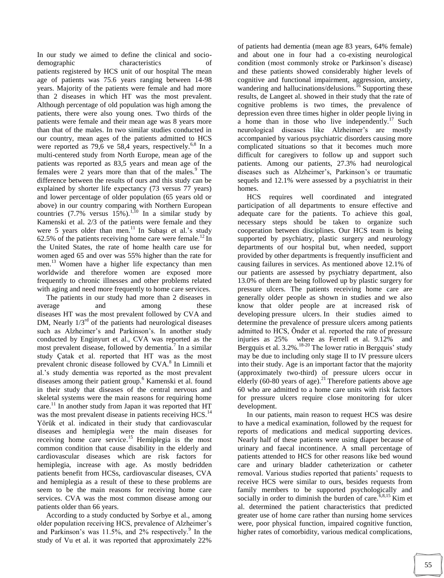In our study we aimed to define the clinical and sociodemographic characteristics of patients registered by HCS unit of our hospital The mean age of patients was 75.6 years ranging between 14-98 years. Majority of the patients were female and had more than 2 diseases in which HT was the most prevalent. Although percentage of old population was high among the patients, there were also young ones. Two thirds of the patients were female and their mean age was 8 years more than that of the males. In two similar studies conducted in our country, mean ages of the patients admitted to HCS were reported as 79,6 ve 58,4 years, respectively.<sup>6,8</sup> In a multi-centered study from North Europe, mean age of the patients was reported as 83,5 years and mean age of the females were 2 years more than that of the males. $9$  The difference between the results of ours and this study can be explained by shorter life expectancy (73 versus 77 years) and lower percentage of older population (65 years old or above) in our country comparing with Northern European countries  $(7.7\%$  versus  $15\%$ ).<sup>1,10</sup> In a similar study by Kamenski et al. 2/3 of the patients were female and they were 5 years older than men.<sup>11</sup> In Subaşı et al.'s study 62.5% of the patients receiving home care were female.<sup>12</sup> In the United States, the rate of home health care use for women aged 65 and over was 55% higher than the rate for men.<sup>13</sup> Women have a higher life expectancy than men worldwide and therefore women are exposed more frequently to chronic illnesses and other problems related with aging and need more frequently to home care services.

 The patients in our study had more than 2 diseases in average and among these diseases HT was the most prevalent followed by CVA and DM, Nearly  $1/3<sup>rd</sup>$  of the patients had neurological diseases such as Alzheimer's and Parkinson's. In another study conducted by Enginyurt et al., CVA was reported as the most prevalent disease, followed by dementia.<sup>7</sup> In a similar study Çatak et al. reported that HT was as the most prevalent chronic disease followed by CVA.<sup>8</sup> In Limnili et al.'s study dementia was reported as the most prevalent diseases among their patient group.<sup>6</sup> Kamenski et al. found in their study that diseases of the central nervous and skeletal systems were the main reasons for requiring home care.<sup>11</sup> In another study from Japan it was reported that HT was the most prevalent disease in patients receiving HCS.<sup>14</sup> Yörük et al. indicated in their study that cardiovascular diseases and hemiplegia were the main diseases for receiving home care service.<sup>15</sup> Hemiplegia is the most common condition that cause disability in the elderly and cardiovascular diseases which are risk factors for hemiplegia, increase with age. As mostly bedridden patients benefit from HCSs, cardiovascular diseases, CVA and hemiplegia as a result of these to these problems are seem to be the main reasons for receiving home care services. CVA was the most common disease among our patients older than 66 years.

 According to a study conducted by Sorbye et al., among older population receiving HCS, prevalence of Alzheimer's and Parkinson's was  $11.5\%$ , and  $2\%$  respectively.<sup>9</sup> In the study of Vu et al. it was reported that approximately 22%

of patients had dementia (mean age 83 years, 64% female) and about one in four had a co-existing neurological condition (most commonly stroke or Parkinson's disease) and these patients showed considerably higher levels of cognitive and functional impairment, aggression, anxiety, wandering and hallucinations/delusions.<sup>16</sup> Supporting these results, de Langeet al. showed in their study that the rate of cognitive problems is two times, the prevalence of depression even three times higher in older people living in a home than in those who live independently.<sup>17</sup> Such neurological diseases like Alzheimer's are mostly accompanied by various psychiatric disorders causing more complicated situations so that it becomes much more difficult for caregivers to follow up and support such patients. Among our patients, 27.3% had neurological diseases such as Alzheimer's, Parkinson's or traumatic sequels and 12.1% were assessed by a psychiatrist in their homes.

 HCS requires well coordinated and integrated participation of all departments to ensure effective and adequate care for the patients. To achieve this goal, necessary steps should be taken to organize such cooperation between disciplines. Our HCS team is being supported by psychiatry, plastic surgery and neurology departments of our hospital but, when needed, support provided by other departments is frequently insufficient and causing failures in services. As mentioned above 12.1% of our patients are assessed by psychiatry department, also 13.0% of them are being followed up by plastic surgery for pressure ulcers. The patients receiving home care are generally older people as shown in studies and we also know that older people are at increased risk of developing pressure ulcers. In their studies aimed to determine the prevalence of pressure ulcers among patients admitted to HCS, Önder et al. reported the rate of pressure injuries as 25% where as Ferrell et al. 9.12% and Bergquis et al.  $3.2\%$ .<sup>18-20</sup> The lower ratio in Bergquis' study may be due to including only stage II to IV pressure ulcers into their study. Age is an important factor that the majority (approximately two-third) of pressure ulcers occur in elderly (60-80 years of age).<sup>21</sup> Therefore patients above age 60 who are admitted to a home care units with risk factors for pressure ulcers require close monitoring for ulcer development.

 In our patients, main reason to request HCS was desire to have a medical examination, followed by the request for reports of medications and medical supporting devices. Nearly half of these patients were using diaper because of urinary and faecal incontinence. A small percentage of patients attended to HCS for other reasons like bed wound care and urinary bladder catheterization or catheter removal. Various studies reported that patients' requests to receive HCS were similar to ours, besides requests from family members to be supported psychologically and socially in order to diminish the burden of care.<sup>6,8,15</sup> Kim et al. determined the patient characteristics that predicted greater use of home care rather than nursing home services were, poor physical function, impaired cognitive function, higher rates of comorbidity, various medical complications,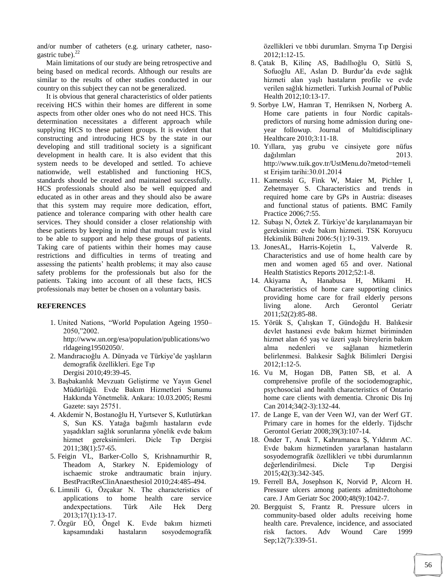and/or number of catheters (e.g. urinary catheter, nasogastric tube). $^{22}$ 

 Main limitations of our study are being retrospective and being based on medical records. Although our results are similar to the results of other studies conducted in our country on this subject they can not be generalized.

 It is obvious that general characteristics of older patients receiving HCS within their homes are different in some aspects from other older ones who do not need HCS. This determination necessitates a different approach while supplying HCS to these patient groups. It is evident that constructing and introducing HCS by the state in our developing and still traditional society is a significant development in health care. It is also evident that this system needs to be developed and settled. To achieve nationwide, well established and functioning HCS, standards should be created and maintained successfully. HCS professionals should also be well equipped and educated as in other areas and they should also be aware that this system may require more dedication, effort, patience and tolerance comparing with other health care services. They should consider a closer relationship with these patients by keeping in mind that mutual trust is vital to be able to support and help these groups of patients. Taking care of patients within their homes may cause restrictions and difficulties in terms of treating and assessing the patients' health problems; it may also cause safety problems for the professionals but also for the patients. Taking into account of all these facts, HCS professionals may better be chosen on a voluntary basis.

#### **REFERENCES**

1. United Nations, "World Population Ageing 1950– 2050,"2002.

http://www.un.org/esa/population/publications/wo rldageing19502050/.

- 2. Mandıracıoğlu A. Dünyada ve Türkiye'de yaşlıların demografik özellikleri. Ege Tıp Dergisi 2010;49:39-45.
- 3. Başbakanlık Mevzuatı Geliştirme ve Yayın Genel Müdürlüğü. Evde Bakım Hizmetleri Sunumu Hakkında Yönetmelik. Ankara: 10.03.2005; Resmi Gazete: sayı 25751.
- 4. Akdemir N, Bostanoğlu H, Yurtsever S, Kutlutürkan S, Sun KS. Yatağa bağımlı hastaların evde yaşadıkları sağlık sorunlarına yönelik evde bakım hizmet gereksinimleri. Dicle Tıp Dergisi 2011;38(1):57-65.
- 5. Feigin VL, Barker-Collo S, Krishnamurthir R, Theadom A, Starkey N. Epidemiology of ischaemic stroke andtraumatic brain injury. BestPractResClinAnaesthesiol 2010;24:485-494.
- 6. Limnili G, Özçakar N. The characteristics of applications to home health care service andexpectations. Türk Aile Hek Derg 2013;17(1):13-17.
- 7. Özgür EÖ, Öngel K. Evde bakım hizmeti kapsamındaki hastaların sosyodemografik

özellikleri ve tıbbi durumları. Smyrna Tıp Dergisi 2012;1:12-15.

- 8. Çatak B, Kilinç AS, Badıllıoğlu O, Sütlü S, Sofuoğlu AE, Aslan D. Burdur'da evde sağlık hizmeti alan yaşlı hastaların profile ve evde verilen sağlık hizmetleri. Turkish Journal of Public Health 2012;10:13-17.
- 9. Sorbye LW, Hamran T, Henriksen N, Norberg A. Home care patients in four Nordic capitalspredictors of nursing home admission during oneyear followup. Journal of Multidisciplinary Healthcare 2010;3:11-18.
- 10. Yıllara, yaş grubu ve cinsiyete gore nüfus dağılımları 2013. http://www.tuik.gov.tr/UstMenu.do?metod=temeli st Erişim tarihi:30.01.2014
- 11. Kamenski G, Fink W, Maier M, Pichler I, Zehetmayer S. Characteristics and trends in required home care by GPs in Austria: diseases and functional status of patients. BMC Family Practice 2006;7:55.
- 12. Subaşı N, Öztek Z. Türkiye'de karşılanamayan bir gereksinim: evde bakım hizmeti. TSK Koruyucu Hekimlik Bülteni 2006:5(1):19-319.
- 13. JonesAL, Harris-Kojetin L, Valverde R. Characteristics and use of home health care by men and women aged 65 and over. National Health Statistics Reports 2012;52:1-8.
- 14. Akiyama A, Hanabusa H, Mikami H. Characteristics of home care supporting clinics providing home care for frail elderly persons living alone. Arch Gerontol Geriatr 2011;52(2):85-88.
- 15. Yörük S, Çalışkan T, Gündoğdu H. Balıkesir devlet hastanesi evde bakım hizmet biriminden hizmet alan 65 yaş ve üzeri yaşlı bireylerin bakım alma nedenleri ve sağlanan hizmetlerin belirlenmesi. Balıkesir Sağlık Bilimleri Dergisi 2012;1:12-5.
- 16. Vu M, Hogan DB, Patten SB, et al. A comprehensive profile of the sociodemographic, psychosocial and health characteristics of Ontario home care clients with dementia. Chronic Dis Inj Can 2014;34(2-3):132-44.
- 17. de Lange E, van der Veen WJ, van der Werf GT. Primary care in homes for the elderly. Tijdschr Gerontol Geriatr 2008;39(3):107-14.
- 18. Önder T, Anuk T, Kahramanca Ş, Yıldırım AC. Evde bakım hizmetinden yararlanan hastaların sosyodemografik özellikleri ve tıbbi durumlarının değerlendirilmesi. Dicle Tıp Dergisi 2015;42(3):342-345.
- 19. Ferrell BA, Josephson K, Norvid P, Alcorn H. Pressure ulcers among patients admittedtohome care. J Am Geriatr Soc 2000;48(9):1042-7.
- 20. Bergquist S, Frantz R. Pressure ulcers in community-based older adults receiving home health care. Prevalence, incidence, and associated risk factors. Adv Wound Care 1999 Sep;12(7):339-51.